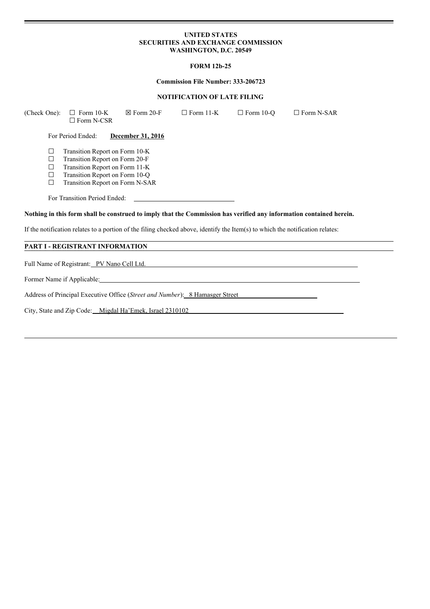## **UNITED STATES SECURITIES AND EXCHANGE COMMISSION WASHINGTON, D.C. 20549**

## **FORM 12b-25**

#### **Commission File Number: 333-206723**

#### **NOTIFICATION OF LATE FILING**

(Check One):  $\Box$  Form 10-K  $\boxtimes$  Form 20-F  $\Box$  Form 11-K  $\Box$  Form 10-Q  $\Box$  Form N-SAR ☐ Form N-CSR For Period Ended: **December 31, 2016**  $\Box$  Transition Report on Form 10-K<br> $\Box$  Transition Report on Form 20-F  $\Box$  Transition Report on Form 20-F<br> $\Box$  Transition Report on Form 11-K ☐ Transition Report on Form 11-K ☐ Transition Report on Form 10-Q ☐ Transition Report on Form N-SAR For Transition Period Ended: Nothing in this form shall be construed to imply that the Commission has verified any information contained herein. If the notification relates to a portion of the filing checked above, identify the Item(s) to which the notification relates: **PART I - REGISTRANT INFORMATION** Full Name of Registrant: PV Nano Cell Ltd.

Former Name if Applicable:

Address of Principal Executive Office (*Street and Number*): 8 Hamasger Street

City, State and Zip Code: Migdal Ha'Emek, Israel 2310102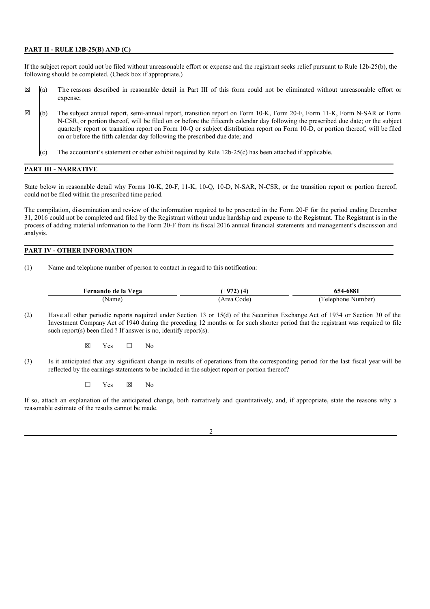#### **PART II - RULE 12B-25(B) AND (C)**

If the subject report could not be filed without unreasonable effort or expense and the registrant seeks relief pursuant to Rule 12b-25(b), the following should be completed. (Check box if appropriate.)

- $\boxtimes$  (a) The reasons described in reasonable detail in Part III of this form could not be eliminated without unreasonable effort or expense;
- ☒ (b) The subject annual report, semi-annual report, transition report on Form 10-K, Form 20-F, Form 11-K, Form N-SAR or Form N-CSR, or portion thereof, will be filed on or before the fifteenth calendar day following the prescribed due date; or the subject quarterly report or transition report on Form 10-Q or subject distribution report on Form 10-D, or portion thereof, will be filed on or before the fifth calendar day following the prescribed due date; and
	- (c) The accountant's statement or other exhibit required by Rule 12b-25(c) has been attached if applicable.

#### **PART III - NARRATIVE**

State below in reasonable detail why Forms 10-K, 20-F, 11-K, 10-Q, 10-D, N-SAR, N-CSR, or the transition report or portion thereof, could not be filed within the prescribed time period.

The compilation, dissemination and review of the information required to be presented in the Form 20-F for the period ending December 31, 2016 could not be completed and filed by the Registrant without undue hardship and expense to the Registrant. The Registrant is in the process of adding material information to the Form 20-F from its fiscal 2016 annual financial statements and management's discussion and analysis.

# **PART IV - OTHER INFORMATION**

(1) Name and telephone number of person to contact in regard to this notification:

| Fernando de la Vega | $+972)$ (4) | 654-6881           |
|---------------------|-------------|--------------------|
| Name)               | Area Code)  | 'Telephone Number) |

(2) Have all other periodic reports required under Section 13 or 15(d) of the Securities Exchange Act of 1934 or Section 30 of the Investment Company Act of 1940 during the preceding 12 months or for such shorter period that the registrant was required to file such report(s) been filed ? If answer is no, identify report(s).

 $\boxtimes$  Yes  $\Box$  No

(3) Is it anticipated that any significant change in results of operations from the corresponding period for the last fiscal year will be reflected by the earnings statements to be included in the subject report or portion thereof?

 $\square$  Yes  $\square$  No

If so, attach an explanation of the anticipated change, both narratively and quantitatively, and, if appropriate, state the reasons why a reasonable estimate of the results cannot be made.